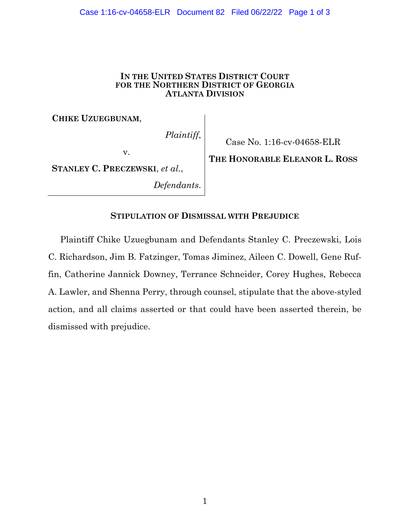#### Case 1:16-cv-04658-ELR Document 82 Filed 06/22/22 Page 1 of 3

### **IN THE UNITED STATES DISTRICT COURT FOR THE NORTHERN DISTRICT OF GEORGIA ATLANTA DIVISION**

**CHIKE UZUEGBUNAM**,

*Plaintiff*,

Case No. 1:16-cv-04658-ELR

**STANLEY C. PRECZEWSKI**, *et al.*,

v.

*Defendants*.

# **THE HONORABLE ELEANOR L. ROSS**

## **STIPULATION OF DISMISSAL WITH PREJUDICE**

Plaintiff Chike Uzuegbunam and Defendants Stanley C. Preczewski, Lois C. Richardson, Jim B. Fatzinger, Tomas Jiminez, Aileen C. Dowell, Gene Ruffin, Catherine Jannick Downey, Terrance Schneider, Corey Hughes, Rebecca A. Lawler, and Shenna Perry, through counsel, stipulate that the above-styled action, and all claims asserted or that could have been asserted therein, be dismissed with prejudice.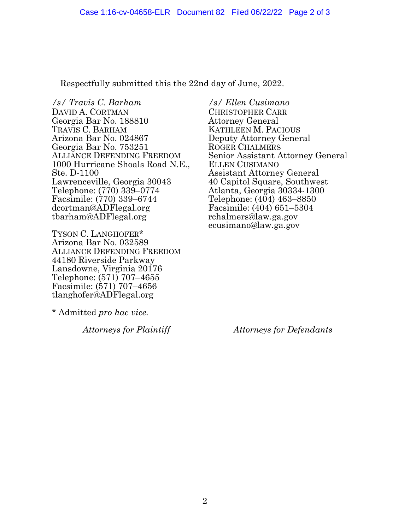Respectfully submitted this the 22nd day of June, 2022.

*/s/ Travis C. Barham* DAVID A. CORTMAN Georgia Bar No. 188810 TRAVIS C. BARHAM Arizona Bar No. 024867 Georgia Bar No. 753251 1000 Hurricane Shoals Road N.E., Ste. D-1100 Lawrenceville, Georgia 30043 Telephone: (770) 339–0774 Facsimile: (770) 339–6744 dcortman@ADFlegal.org tbarham@ADFlegal.org

TYSON C. LANGHOFER\* Arizona Bar No. 032589 ALLIANCE DEFENDING FREEDOM 44180 Riverside Parkway Lansdowne, Virginia 20176 Telephone: (571) 707–4655 Facsimile: (571) 707–4656 tlanghofer@ADFlegal.org

\* Admitted *pro hac vice.* 

*Attorneys for Plaintiff*

*/s/ Ellen Cusimano*

CHRISTOPHER CARR Attorney General KATHLEEN M. PACIOUS Deputy Attorney General ROGER CHALMERS Senior Assistant Attorney General ELLEN CUSIMANO Assistant Attorney General 40 Capitol Square, Southwest Atlanta, Georgia 30334-1300 Telephone: (404) 463–8850 Facsimile: (404) 651–5304 rchalmers@law.ga.gov ecusimano@law.ga.gov

*Attorneys for Defendants*